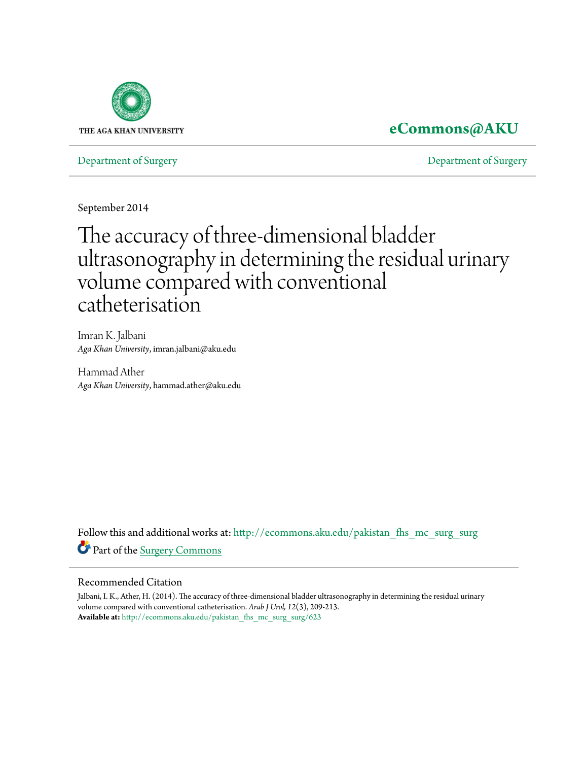

### **[eCommons@AKU](http://ecommons.aku.edu?utm_source=ecommons.aku.edu%2Fpakistan_fhs_mc_surg_surg%2F623&utm_medium=PDF&utm_campaign=PDFCoverPages)**

[Department of Surgery](http://ecommons.aku.edu/pakistan_fhs_mc_surg_surg?utm_source=ecommons.aku.edu%2Fpakistan_fhs_mc_surg_surg%2F623&utm_medium=PDF&utm_campaign=PDFCoverPages) [Department of Surgery](http://ecommons.aku.edu/pakistan_fhs_mc_surg?utm_source=ecommons.aku.edu%2Fpakistan_fhs_mc_surg_surg%2F623&utm_medium=PDF&utm_campaign=PDFCoverPages)

September 2014

# The accuracy of three-dimensional bladder ultrasonography in determining the residual urinary volume compared with conventional catheterisation

Imran K. Jalbani *Aga Khan University*, imran.jalbani@aku.edu

Hammad Ather *Aga Khan University*, hammad.ather@aku.edu

Follow this and additional works at: [http://ecommons.aku.edu/pakistan\\_fhs\\_mc\\_surg\\_surg](http://ecommons.aku.edu/pakistan_fhs_mc_surg_surg?utm_source=ecommons.aku.edu%2Fpakistan_fhs_mc_surg_surg%2F623&utm_medium=PDF&utm_campaign=PDFCoverPages) Part of the [Surgery Commons](http://network.bepress.com/hgg/discipline/706?utm_source=ecommons.aku.edu%2Fpakistan_fhs_mc_surg_surg%2F623&utm_medium=PDF&utm_campaign=PDFCoverPages)

#### Recommended Citation

Jalbani, I. K., Ather, H. (2014). The accuracy of three-dimensional bladder ultrasonography in determining the residual urinary volume compared with conventional catheterisation. *Arab J Urol, 12*(3), 209-213. **Available at:** [http://ecommons.aku.edu/pakistan\\_fhs\\_mc\\_surg\\_surg/623](http://ecommons.aku.edu/pakistan_fhs_mc_surg_surg/623)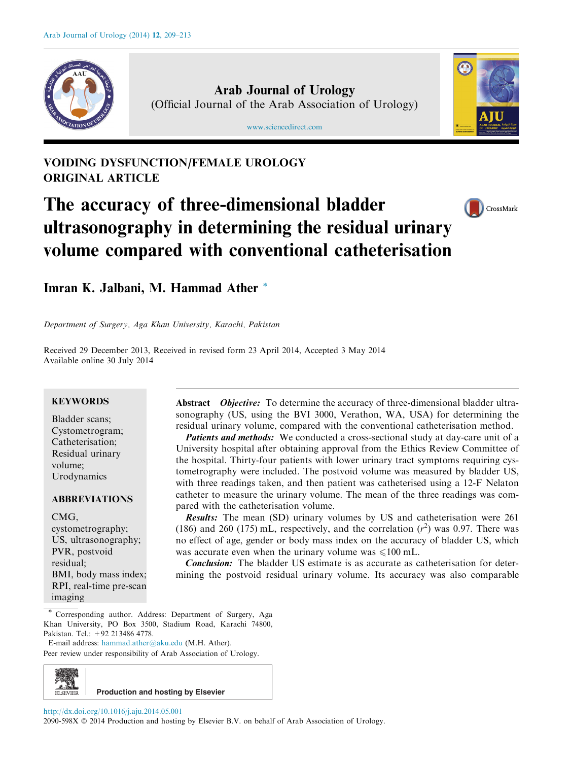

Arab Journal of Urology (Official Journal of the Arab Association of Urology)

[www.sciencedirect.com](http://www.sciencedirect.com/science/journal/2090598X)



### VOIDING DYSFUNCTION/FEMALE UROLOGY ORIGINAL ARTICLE

## The accuracy of three-dimensional bladder ultrasonography in determining the residual urinary volume compared with conventional catheterisation



Imran K. Jalbani, M. Hammad Ather \*

Department of Surgery, Aga Khan University, Karachi, Pakistan

Received 29 December 2013, Received in revised form 23 April 2014, Accepted 3 May 2014 Available online 30 July 2014

#### **KEYWORDS**

Bladder scans; Cystometrogram; Catheterisation; Residual urinary volume; Urodynamics

#### ABBREVIATIONS

CMG,

cystometrography; US, ultrasonography; PVR, postvoid residual; BMI, body mass index; RPI, real-time pre-scan imaging

Abstract *Objective:* To determine the accuracy of three-dimensional bladder ultrasonography (US, using the BVI 3000, Verathon, WA, USA) for determining the residual urinary volume, compared with the conventional catheterisation method.

Patients and methods: We conducted a cross-sectional study at day-care unit of a University hospital after obtaining approval from the Ethics Review Committee of the hospital. Thirty-four patients with lower urinary tract symptoms requiring cystometrography were included. The postvoid volume was measured by bladder US, with three readings taken, and then patient was catheterised using a 12-F Nelaton catheter to measure the urinary volume. The mean of the three readings was compared with the catheterisation volume.

Results: The mean (SD) urinary volumes by US and catheterisation were 261 (186) and 260 (175) mL, respectively, and the correlation  $(r^2)$  was 0.97. There was no effect of age, gender or body mass index on the accuracy of bladder US, which was accurate even when the urinary volume was  $\leq 100$  mL.

**Conclusion:** The bladder US estimate is as accurate as catheterisation for determining the postvoid residual urinary volume. Its accuracy was also comparable

Corresponding author. Address: Department of Surgery, Aga Khan University, PO Box 3500, Stadium Road, Karachi 74800, Pakistan. Tel.: +92 213486 4778.

E-mail address: [hammad.ather@aku.edu](mailto:hammad.ather@aku.edu) (M.H. Ather). Peer review under responsibility of Arab Association of Urology.



<http://dx.doi.org/10.1016/j.aju.2014.05.001>

**Production and hosting by Elsevier**

2090-598X  $\circledcirc$  2014 Production and hosting by Elsevier B.V. on behalf of Arab Association of Urology.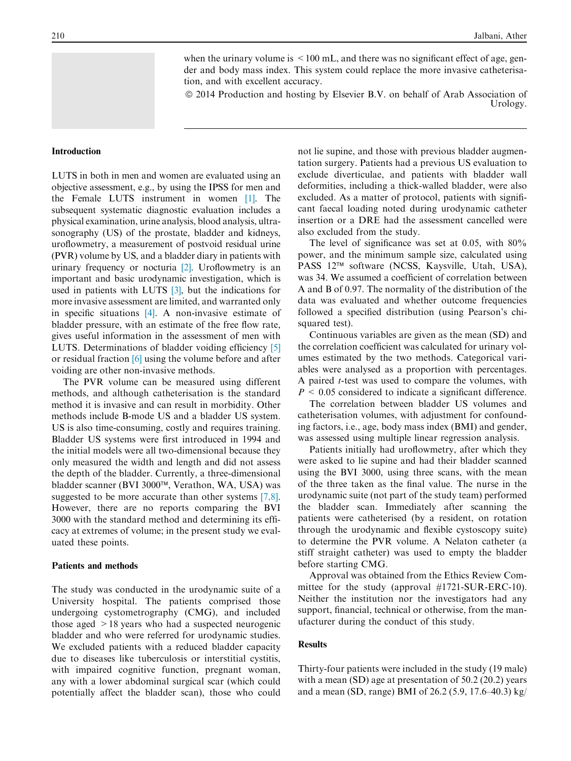when the urinary volume is  $\leq 100$  mL, and there was no significant effect of age, gender and body mass index. This system could replace the more invasive catheterisation, and with excellent accuracy.

ª 2014 Production and hosting by Elsevier B.V. on behalf of Arab Association of

Urology.

#### Introduction

LUTS in both in men and women are evaluated using an objective assessment, e.g., by using the IPSS for men and the Female LUTS instrument in women [\[1\].](#page-4-0) The subsequent systematic diagnostic evaluation includes a physical examination, urine analysis, blood analysis, ultrasonography (US) of the prostate, bladder and kidneys, uroflowmetry, a measurement of postvoid residual urine (PVR) volume by US, and a bladder diary in patients with urinary frequency or nocturia [\[2\]](#page-4-0). Uroflowmetry is an important and basic urodynamic investigation, which is used in patients with LUTS [\[3\],](#page-4-0) but the indications for more invasive assessment are limited, and warranted only in specific situations [\[4\].](#page-4-0) A non-invasive estimate of bladder pressure, with an estimate of the free flow rate, gives useful information in the assessment of men with LUTS. Determinations of bladder voiding efficiency [\[5\]](#page-4-0) or residual fraction [\[6\]](#page-4-0) using the volume before and after voiding are other non-invasive methods.

The PVR volume can be measured using different methods, and although catheterisation is the standard method it is invasive and can result in morbidity. Other methods include B-mode US and a bladder US system. US is also time-consuming, costly and requires training. Bladder US systems were first introduced in 1994 and the initial models were all two-dimensional because they only measured the width and length and did not assess the depth of the bladder. Currently, a three-dimensional bladder scanner (BVI 3000™, Verathon, WA, USA) was suggested to be more accurate than other systems [\[7,8\]](#page-4-0). However, there are no reports comparing the BVI 3000 with the standard method and determining its efficacy at extremes of volume; in the present study we evaluated these points.

#### Patients and methods

The study was conducted in the urodynamic suite of a University hospital. The patients comprised those undergoing cystometrography (CMG), and included those aged >18 years who had a suspected neurogenic bladder and who were referred for urodynamic studies. We excluded patients with a reduced bladder capacity due to diseases like tuberculosis or interstitial cystitis, with impaired cognitive function, pregnant woman, any with a lower abdominal surgical scar (which could potentially affect the bladder scan), those who could not lie supine, and those with previous bladder augmentation surgery. Patients had a previous US evaluation to exclude diverticulae, and patients with bladder wall deformities, including a thick-walled bladder, were also excluded. As a matter of protocol, patients with significant faecal loading noted during urodynamic catheter insertion or a DRE had the assessment cancelled were also excluded from the study.

The level of significance was set at 0.05, with 80% power, and the minimum sample size, calculated using PASS 12™ software (NCSS, Kaysville, Utah, USA), was 34. We assumed a coefficient of correlation between A and B of 0.97. The normality of the distribution of the data was evaluated and whether outcome frequencies followed a specified distribution (using Pearson's chisquared test).

Continuous variables are given as the mean (SD) and the correlation coefficient was calculated for urinary volumes estimated by the two methods. Categorical variables were analysed as a proportion with percentages. A paired t-test was used to compare the volumes, with  $P \leq 0.05$  considered to indicate a significant difference.

The correlation between bladder US volumes and catheterisation volumes, with adjustment for confounding factors, i.e., age, body mass index (BMI) and gender, was assessed using multiple linear regression analysis.

Patients initially had uroflowmetry, after which they were asked to lie supine and had their bladder scanned using the BVI 3000, using three scans, with the mean of the three taken as the final value. The nurse in the urodynamic suite (not part of the study team) performed the bladder scan. Immediately after scanning the patients were catheterised (by a resident, on rotation through the urodynamic and flexible cystoscopy suite) to determine the PVR volume. A Nelaton catheter (a stiff straight catheter) was used to empty the bladder before starting CMG.

Approval was obtained from the Ethics Review Committee for the study (approval #1721-SUR-ERC-10). Neither the institution nor the investigators had any support, financial, technical or otherwise, from the manufacturer during the conduct of this study.

#### Results

Thirty-four patients were included in the study (19 male) with a mean (SD) age at presentation of 50.2 (20.2) years and a mean (SD, range) BMI of 26.2 (5.9, 17.6–40.3) kg/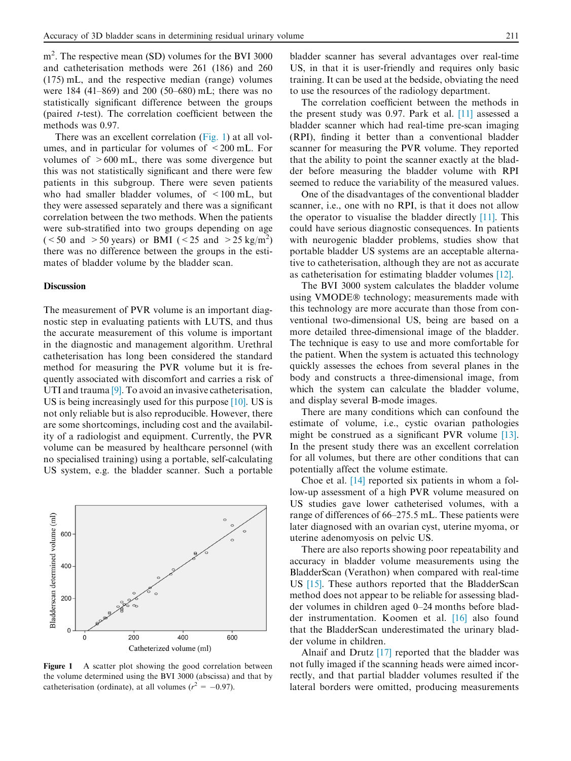m<sup>2</sup>. The respective mean (SD) volumes for the BVI 3000 and catheterisation methods were 261 (186) and 260 (175) mL, and the respective median (range) volumes were 184 (41–869) and 200 (50–680) mL; there was no statistically significant difference between the groups (paired t-test). The correlation coefficient between the methods was 0.97.

There was an excellent correlation (Fig. 1) at all volumes, and in particular for volumes of  $\leq 200$  mL. For volumes of  $>600$  mL, there was some divergence but this was not statistically significant and there were few patients in this subgroup. There were seven patients who had smaller bladder volumes, of  $\leq 100$  mL, but they were assessed separately and there was a significant correlation between the two methods. When the patients were sub-stratified into two groups depending on age (<50 and >50 years) or BMI (<25 and >25 kg/m<sup>2</sup>) there was no difference between the groups in the estimates of bladder volume by the bladder scan.

#### **Discussion**

The measurement of PVR volume is an important diagnostic step in evaluating patients with LUTS, and thus the accurate measurement of this volume is important in the diagnostic and management algorithm. Urethral catheterisation has long been considered the standard method for measuring the PVR volume but it is frequently associated with discomfort and carries a risk of UTI and trauma [\[9\].](#page-4-0) To avoid an invasive catheterisation, US is being increasingly used for this purpose [\[10\]](#page-4-0). US is not only reliable but is also reproducible. However, there are some shortcomings, including cost and the availability of a radiologist and equipment. Currently, the PVR volume can be measured by healthcare personnel (with no specialised training) using a portable, self-calculating US system, e.g. the bladder scanner. Such a portable



Figure 1 A scatter plot showing the good correlation between the volume determined using the BVI 3000 (abscissa) and that by catheterisation (ordinate), at all volumes ( $r^2 = -0.97$ ).

bladder scanner has several advantages over real-time US, in that it is user-friendly and requires only basic training. It can be used at the bedside, obviating the need to use the resources of the radiology department.

The correlation coefficient between the methods in the present study was 0.97. Park et al. [\[11\]](#page-4-0) assessed a bladder scanner which had real-time pre-scan imaging (RPI), finding it better than a conventional bladder scanner for measuring the PVR volume. They reported that the ability to point the scanner exactly at the bladder before measuring the bladder volume with RPI seemed to reduce the variability of the measured values.

One of the disadvantages of the conventional bladder scanner, i.e., one with no RPI, is that it does not allow the operator to visualise the bladder directly [\[11\]](#page-4-0). This could have serious diagnostic consequences. In patients with neurogenic bladder problems, studies show that portable bladder US systems are an acceptable alternative to catheterisation, although they are not as accurate as catheterisation for estimating bladder volumes [\[12\]](#page-4-0).

The BVI 3000 system calculates the bladder volume using VMODE® technology; measurements made with this technology are more accurate than those from conventional two-dimensional US, being are based on a more detailed three-dimensional image of the bladder. The technique is easy to use and more comfortable for the patient. When the system is actuated this technology quickly assesses the echoes from several planes in the body and constructs a three-dimensional image, from which the system can calculate the bladder volume, and display several B-mode images.

There are many conditions which can confound the estimate of volume, i.e., cystic ovarian pathologies might be construed as a significant PVR volume [\[13\].](#page-4-0) In the present study there was an excellent correlation for all volumes, but there are other conditions that can potentially affect the volume estimate.

Choe et al. [\[14\]](#page-4-0) reported six patients in whom a follow-up assessment of a high PVR volume measured on US studies gave lower catheterised volumes, with a range of differences of 66–275.5 mL. These patients were later diagnosed with an ovarian cyst, uterine myoma, or uterine adenomyosis on pelvic US.

There are also reports showing poor repeatability and accuracy in bladder volume measurements using the BladderScan (Verathon) when compared with real-time US [\[15\].](#page-4-0) These authors reported that the BladderScan method does not appear to be reliable for assessing bladder volumes in children aged 0–24 months before bladder instrumentation. Koomen et al. [\[16\]](#page-5-0) also found that the BladderScan underestimated the urinary bladder volume in children.

Alnaif and Drutz [\[17\]](#page-5-0) reported that the bladder was not fully imaged if the scanning heads were aimed incorrectly, and that partial bladder volumes resulted if the lateral borders were omitted, producing measurements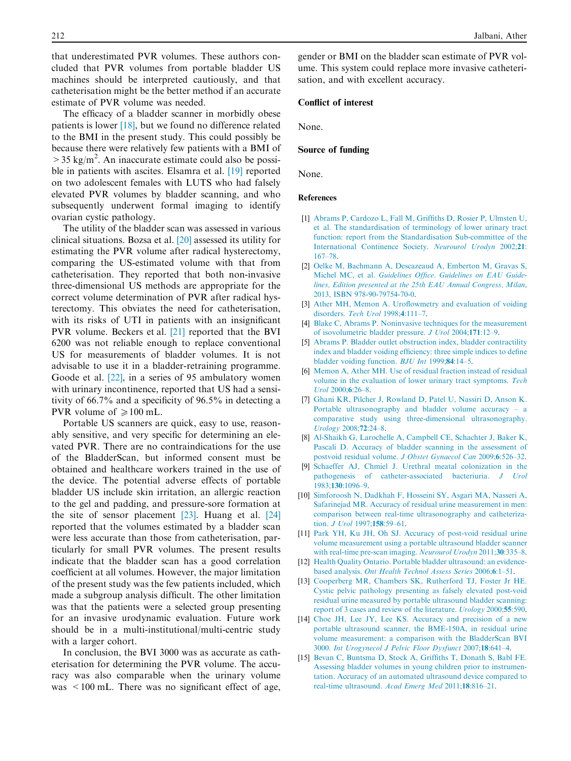<span id="page-4-0"></span>that underestimated PVR volumes. These authors concluded that PVR volumes from portable bladder US machines should be interpreted cautiously, and that catheterisation might be the better method if an accurate estimate of PVR volume was needed.

The efficacy of a bladder scanner in morbidly obese patients is lower [\[18\],](#page-5-0) but we found no difference related to the BMI in the present study. This could possibly be because there were relatively few patients with a BMI of  $>$  35 kg/m<sup>2</sup>. An inaccurate estimate could also be possible in patients with ascites. Elsamra et al. [\[19\]](#page-5-0) reported on two adolescent females with LUTS who had falsely elevated PVR volumes by bladder scanning, and who subsequently underwent formal imaging to identify ovarian cystic pathology.

The utility of the bladder scan was assessed in various clinical situations. Bozsa et al. [\[20\]](#page-5-0) assessed its utility for estimating the PVR volume after radical hysterectomy, comparing the US-estimated volume with that from catheterisation. They reported that both non-invasive three-dimensional US methods are appropriate for the correct volume determination of PVR after radical hysterectomy. This obviates the need for catheterisation, with its risks of UTI in patients with an insignificant PVR volume. Beckers et al. [\[21\]](#page-5-0) reported that the BVI 6200 was not reliable enough to replace conventional US for measurements of bladder volumes. It is not advisable to use it in a bladder-retraining programme. Goode et al. [\[22\],](#page-5-0) in a series of 95 ambulatory women with urinary incontinence, reported that US had a sensitivity of 66.7% and a specificity of 96.5% in detecting a PVR volume of  $\geq 100$  mL.

Portable US scanners are quick, easy to use, reasonably sensitive, and very specific for determining an elevated PVR. There are no contraindications for the use of the BladderScan, but informed consent must be obtained and healthcare workers trained in the use of the device. The potential adverse effects of portable bladder US include skin irritation, an allergic reaction to the gel and padding, and pressure-sore formation at the site of sensor placement  $[23]$ . Huang et al.  $[24]$ reported that the volumes estimated by a bladder scan were less accurate than those from catheterisation, particularly for small PVR volumes. The present results indicate that the bladder scan has a good correlation coefficient at all volumes. However, the major limitation of the present study was the few patients included, which made a subgroup analysis difficult. The other limitation was that the patients were a selected group presenting for an invasive urodynamic evaluation. Future work should be in a multi-institutional/multi-centric study with a larger cohort.

In conclusion, the BVI 3000 was as accurate as catheterisation for determining the PVR volume. The accuracy was also comparable when the urinary volume was  $\leq 100$  mL. There was no significant effect of age, gender or BMI on the bladder scan estimate of PVR volume. This system could replace more invasive catheterisation, and with excellent accuracy.

#### Conflict of interest

None.

#### Source of funding

None.

#### References

- [1] [Abrams P, Cardozo L, Fall M, Griffiths D, Rosier P, Ulmsten U,](http://refhub.elsevier.com/S2090-598X(14)00062-X/h0005) [et al. The standardisation of terminology of lower urinary tract](http://refhub.elsevier.com/S2090-598X(14)00062-X/h0005) [function: report from the Standardisation Sub-committee of the](http://refhub.elsevier.com/S2090-598X(14)00062-X/h0005) [International Continence Society.](http://refhub.elsevier.com/S2090-598X(14)00062-X/h0005) Neurourol Urodyn 2002;21: [167–78](http://refhub.elsevier.com/S2090-598X(14)00062-X/h0005).
- [2] [Oelke M, Bachmann A, Descazeaud A, Emberton M, Gravas S,](http://refhub.elsevier.com/S2090-598X(14)00062-X/h0125) Michel MC, et al. [Guidelines Office. Guidelines on EAU Guide](http://refhub.elsevier.com/S2090-598X(14)00062-X/h0125)[lines, Edition presented at the 25th EAU Annual Congress, Milan](http://refhub.elsevier.com/S2090-598X(14)00062-X/h0125), [2013, ISBN 978-90-79754-70-0](http://refhub.elsevier.com/S2090-598X(14)00062-X/h0125).
- [3] [Ather MH, Memon A. Uroflowmetry and evaluation of voiding](http://refhub.elsevier.com/S2090-598X(14)00062-X/h0015) disorders. [Tech Urol](http://refhub.elsevier.com/S2090-598X(14)00062-X/h0015) 1998;4:111–7.
- [4] [Blake C, Abrams P. Noninvasive techniques for the measurement](http://refhub.elsevier.com/S2090-598X(14)00062-X/h0020) [of isovolumetric bladder pressure.](http://refhub.elsevier.com/S2090-598X(14)00062-X/h0020) J Urol 2004;171:12–9.
- [5] [Abrams P. Bladder outlet obstruction index, bladder contractility](http://refhub.elsevier.com/S2090-598X(14)00062-X/h0025) [index and bladder voiding efficiency: three simple indices to define](http://refhub.elsevier.com/S2090-598X(14)00062-X/h0025) [bladder voiding function.](http://refhub.elsevier.com/S2090-598X(14)00062-X/h0025) BJU Int 1999;84:14–5.
- [6] [Memon A, Ather MH. Use of residual fraction instead of residual](http://refhub.elsevier.com/S2090-598X(14)00062-X/h0030) [volume in the evaluation of lower urinary tract symptoms.](http://refhub.elsevier.com/S2090-598X(14)00062-X/h0030) Tech Urol [2000;](http://refhub.elsevier.com/S2090-598X(14)00062-X/h0030)6:26–8.
- [7] [Ghani KR, Pilcher J, Rowland D, Patel U, Nassiri D, Anson K.](http://refhub.elsevier.com/S2090-598X(14)00062-X/h0035) [Portable ultrasonography and bladder volume accuracy – a](http://refhub.elsevier.com/S2090-598X(14)00062-X/h0035) [comparative study using three-dimensional ultrasonography.](http://refhub.elsevier.com/S2090-598X(14)00062-X/h0035) [Urology](http://refhub.elsevier.com/S2090-598X(14)00062-X/h0035) 2008;72:24–8.
- [8] [Al-Shaikh G, Larochelle A, Campbell CE, Schachter J, Baker K,](http://refhub.elsevier.com/S2090-598X(14)00062-X/h0040) [Pascali D. Accuracy of bladder scanning in the assessment of](http://refhub.elsevier.com/S2090-598X(14)00062-X/h0040) [postvoid residual volume.](http://refhub.elsevier.com/S2090-598X(14)00062-X/h0040) J Obstet Gynaecol Can 2009;6:526–32.
- [9] [Schaeffer AJ, Chmiel J. Urethral meatal colonization in the](http://refhub.elsevier.com/S2090-598X(14)00062-X/h0045) [pathogenesis of catheter-associated bacteriuria.](http://refhub.elsevier.com/S2090-598X(14)00062-X/h0045) J Urol 1983;130[:1096–9](http://refhub.elsevier.com/S2090-598X(14)00062-X/h0045).
- [10] [Simforoosh N, Dadkhah F, Hosseini SY, Asgari MA, Nasseri A,](http://refhub.elsevier.com/S2090-598X(14)00062-X/h0050) [Safarinejad MR. Accuracy of residual urine measurement in men:](http://refhub.elsevier.com/S2090-598X(14)00062-X/h0050) [comparison between real-time ultrasonography and catheteriza](http://refhub.elsevier.com/S2090-598X(14)00062-X/h0050)tion. *[J Urol](http://refhub.elsevier.com/S2090-598X(14)00062-X/h0050)* 1997;158:59-61.
- [11] [Park YH, Ku JH, Oh SJ. Accuracy of post-void residual urine](http://refhub.elsevier.com/S2090-598X(14)00062-X/h0055) [volume measurement using a portable ultrasound bladder scanner](http://refhub.elsevier.com/S2090-598X(14)00062-X/h0055) [with real-time pre-scan imaging.](http://refhub.elsevier.com/S2090-598X(14)00062-X/h0055) Neurourol Urodyn 2011;30:335-8.
- [12] [Health Quality Ontario. Portable bladder ultrasound: an evidence](http://refhub.elsevier.com/S2090-598X(14)00062-X/h0130)based analysis. [Ont Health Technol Assess Series](http://refhub.elsevier.com/S2090-598X(14)00062-X/h0130) 2006;6:1–51.
- [13] [Cooperberg MR, Chambers SK, Rutherford TJ, Foster Jr HE.](http://refhub.elsevier.com/S2090-598X(14)00062-X/h0065) [Cystic pelvic pathology presenting as falsely elevated post-void](http://refhub.elsevier.com/S2090-598X(14)00062-X/h0065) [residual urine measured by portable ultrasound bladder scanning:](http://refhub.elsevier.com/S2090-598X(14)00062-X/h0065) [report of 3 cases and review of the literature.](http://refhub.elsevier.com/S2090-598X(14)00062-X/h0065) Urology 2000;55:590.
- [14] [Choe JH, Lee JY, Lee KS. Accuracy and precision of a new](http://refhub.elsevier.com/S2090-598X(14)00062-X/h0070) [portable ultrasound scanner, the BME-150A, in residual urine](http://refhub.elsevier.com/S2090-598X(14)00062-X/h0070) [volume measurement: a comparison with the BladderScan BVI](http://refhub.elsevier.com/S2090-598X(14)00062-X/h0070) 3000. [Int Urogynecol J Pelvic Floor Dysfunct](http://refhub.elsevier.com/S2090-598X(14)00062-X/h0070) 2007;18:641–4.
- [15] [Bevan C, Buntsma D, Stock A, Griffiths T, Donath S, Babl FE.](http://refhub.elsevier.com/S2090-598X(14)00062-X/h0075) [Assessing bladder volumes in young children prior to instrumen](http://refhub.elsevier.com/S2090-598X(14)00062-X/h0075)[tation. Accuracy of an automated ultrasound device compared to](http://refhub.elsevier.com/S2090-598X(14)00062-X/h0075) [real-time ultrasound.](http://refhub.elsevier.com/S2090-598X(14)00062-X/h0075) Acad Emerg Med 2011;18:816–21.